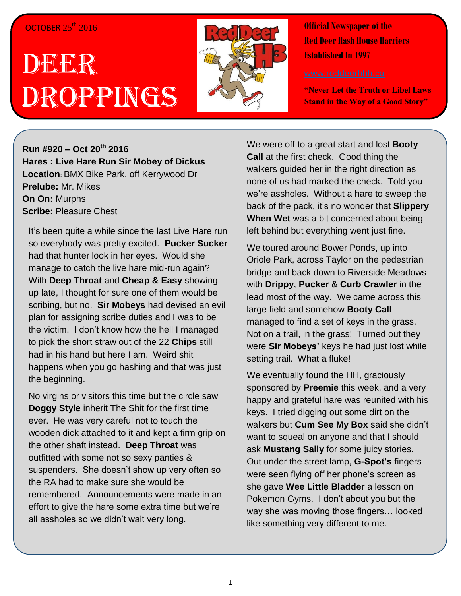## OCTOBER 25<sup>th</sup> 2016

## DEERR Droppings



**Official Newspaper of the Red Deer Hash House Harriers Established In 1997** 

**"Never Let the Truth or Libel Laws Stand in the Way of a Good Story"**

**Run #920 – Oct 20 th 2016 Hares : Live Hare Run Sir Mobey of Dickus Location**: BMX Bike Park, off Kerrywood Dr **Prelube:** Mr. Mikes **On On:** Murphs **Scribe:** Pleasure Chest

It's been quite a while since the last Live Hare run so everybody was pretty excited. **Pucker Sucker** had that hunter look in her eyes. Would she manage to catch the live hare mid-run again? With **Deep Throat** and **Cheap & Easy** showing up late, I thought for sure one of them would be scribing, but no. **Sir Mobeys** had devised an evil plan for assigning scribe duties and I was to be the victim. I don't know how the hell I managed to pick the short straw out of the 22 **Chips** still had in his hand but here I am. Weird shit happens when you go hashing and that was just the beginning.

No virgins or visitors this time but the circle saw **Doggy Style** inherit The Shit for the first time ever. He was very careful not to touch the wooden dick attached to it and kept a firm grip on the other shaft instead. **Deep Throat** was outfitted with some not so sexy panties & suspenders. She doesn't show up very often so the RA had to make sure she would be remembered. Announcements were made in an effort to give the hare some extra time but we're all assholes so we didn't wait very long.

We were off to a great start and lost **Booty Call** at the first check. Good thing the walkers guided her in the right direction as none of us had marked the check. Told you we're assholes. Without a hare to sweep the back of the pack, it's no wonder that **Slippery When Wet** was a bit concerned about being left behind but everything went just fine.

We toured around Bower Ponds, up into Oriole Park, across Taylor on the pedestrian bridge and back down to Riverside Meadows with **Drippy**, **Pucker** & **Curb Crawler** in the lead most of the way. We came across this large field and somehow **Booty Call** managed to find a set of keys in the grass. Not on a trail, in the grass! Turned out they were **Sir Mobeys'** keys he had just lost while setting trail. What a fluke!

We eventually found the HH, graciously sponsored by **Preemie** this week, and a very happy and grateful hare was reunited with his keys. I tried digging out some dirt on the walkers but **Cum See My Box** said she didn't want to squeal on anyone and that I should ask **Mustang Sally** for some juicy stories**.**  Out under the street lamp, **G-Spot's** fingers were seen flying off her phone's screen as she gave **Wee Little Bladder** a lesson on Pokemon Gyms. I don't about you but the way she was moving those fingers… looked like something very different to me.